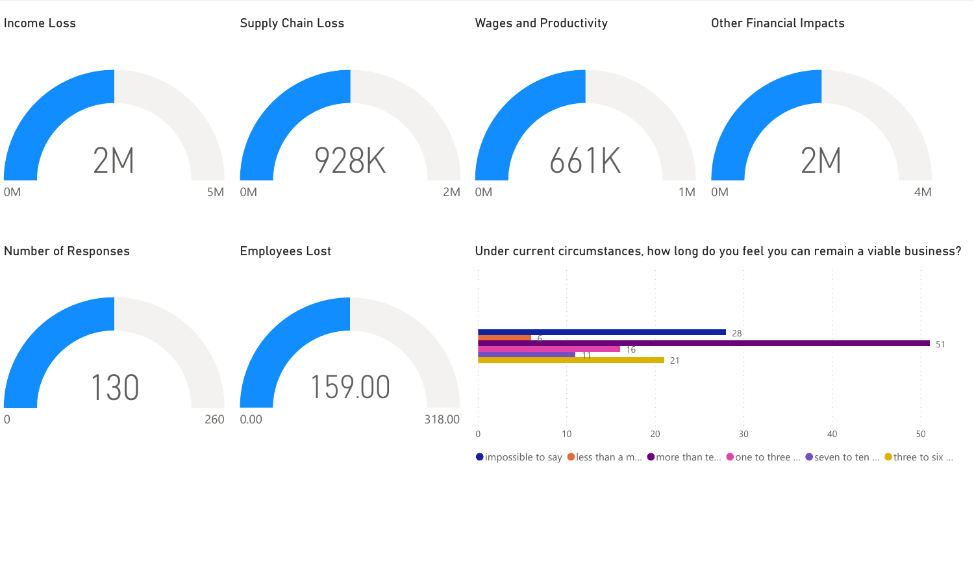

 $\bullet$  impossible to say  $\bullet$  less than a m...  $\bullet$  more than te...  $\bullet$  one to three ...  $\bullet$  seven to ten ...  $\bullet$  three to six ...